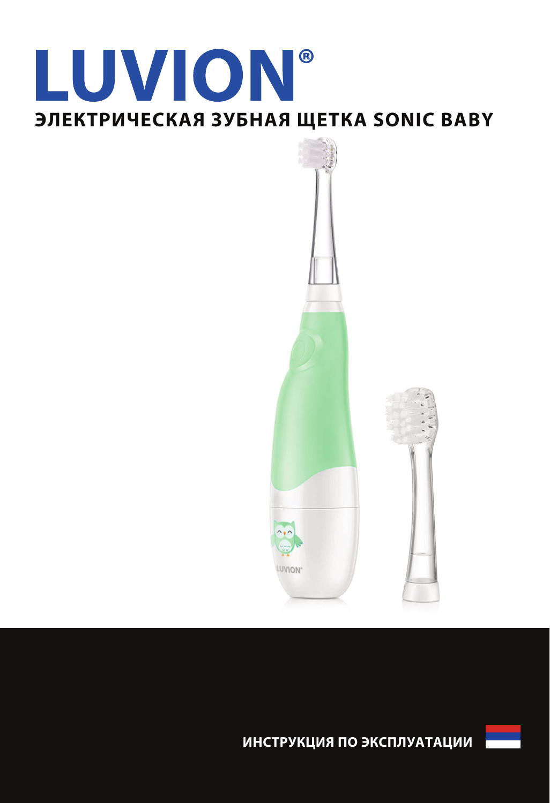# **LUVION®** ЭЛЕКТРИЧЕСКАЯ ЗУБНАЯ ЩЕТКА SONIC ВАВҮ



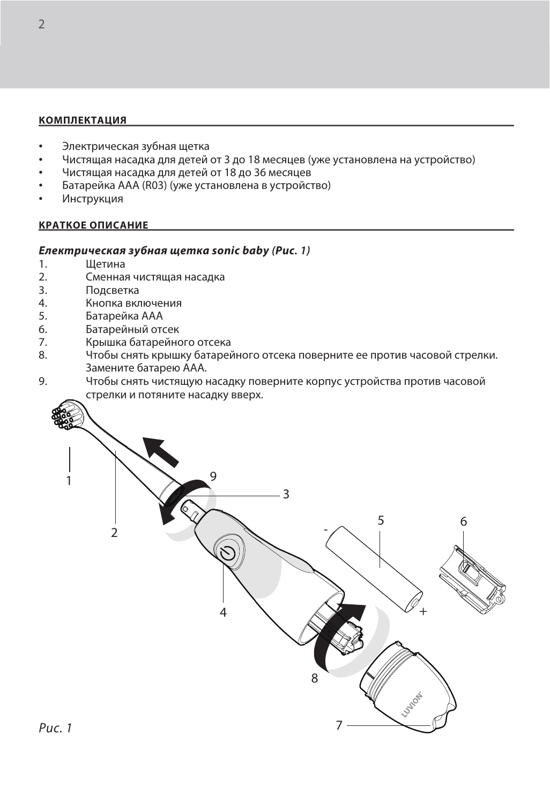### **КОМПЛЕКТАЦИЯ**

- Электрическая зубная щетка
- Чистящая насадка для детей от 3 до 18 месяцев (уже установлена на устройство)
- Чистящая насадка для детей от 18 до 36 месяцев
- Батарейка АAA (R03) (уже установлена в устройство)
- Инструкция

#### **КРАТКОЕ ОПИСАНИЕ**

## **Електрическая зубная щетка sonic baby** *(***Рис***. 1)*

- 1. Щетина<br>2. Сменна:
- 2. Сменная чистящая насадка
- 3. Подсветка<br>4 Кнопка вкл
- 4. Кнопка включения<br>5. Батарейка ААА
- 5. Батарейка ААА<br>6. Батарейный от
- 6. Батарейный отсек<br>7 Крышка батарейни
- 7. Крышка батарейного отсека<br>8. Сетобы снять крышку батарей
- 8. Чтобы снять крышку батарейного отсека поверните ее против часовой стрелки. Замените батарею AAA.
- 9. Чтобы снять чистящую насадку поверните корпус устройства против часовой стрелки и потяните насадку вверх.

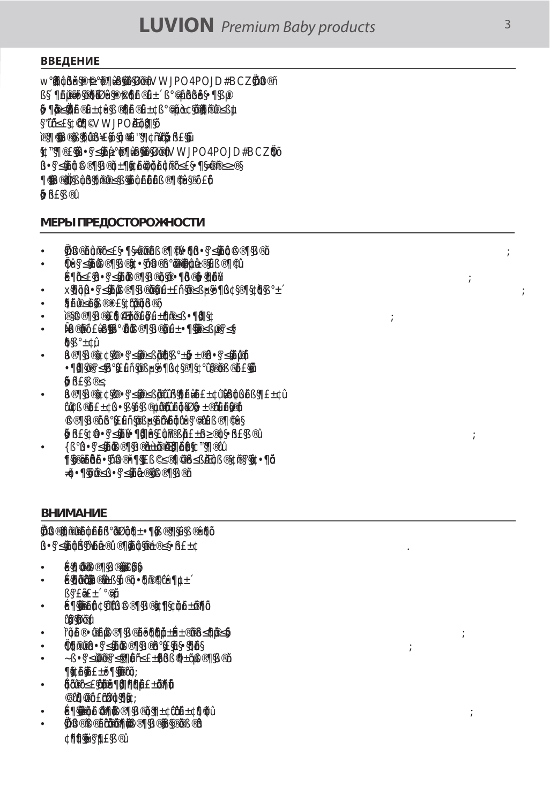## **ВВЕДЕНИЕ**

 $\overline{B}$ 

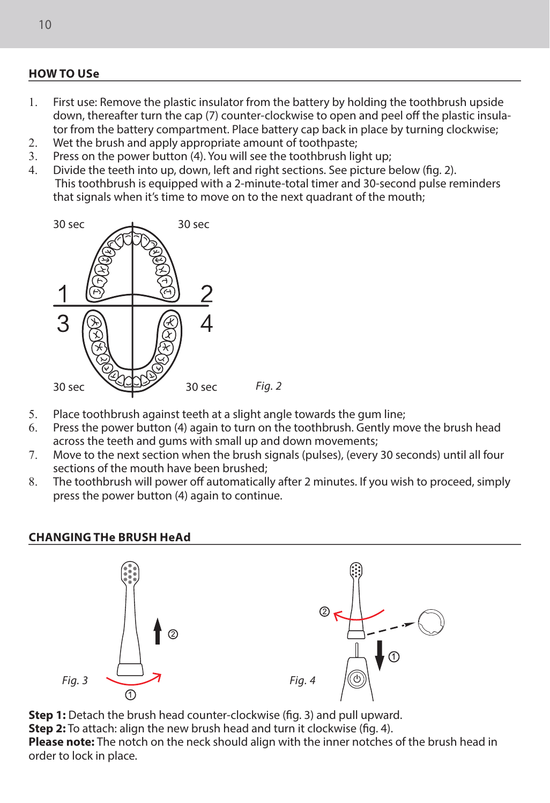## **HOW TO USe**

- 1. First use: Remove the plastic insulator from the battery by holding the toothbrush upside down, thereafter turn the cap (7) counter-clockwise to open and peel off the plastic insulator from the battery compartment. Place battery cap back in place by turning clockwise;
- 2. Wet the brush and apply appropriate amount of toothpaste;<br>3. Press on the nower button (4) You will see the toothbrush list
- 3. Press on the power button  $(4)$ . You will see the toothbrush light up;<br>4. Divide the teeth into up down, left and right sections. See picture is
- Divide the teeth into up, down, left and right sections. See picture below (fig. 2). This toothbrush is equipped with a 2-minute-total timer and 30-second pulse reminders that signals when it's time to move on to the next quadrant of the mouth;



- 5. Place toothbrush against teeth at a slight angle towards the gum line;<br>6. Press the nower button (4) again to turn on the toothbrush Gently mo
- Press the power button (4) again to turn on the toothbrush. Gently move the brush head across the teeth and gums with small up and down movements;
- 7. Move to the next section when the brush signals (pulses), (every 30 seconds) until all four sections of the mouth have been brushed;
- 8. The toothbrush will power off automatically after 2 minutes. If you wish to proceed, simply press the power button (4) again to continue.

## **CHANGING THe BRUSH HeAd**



**Step 1:** Detach the brush head counter-clockwise (fig. 3) and pull upward.

**Step 2:** To attach: align the new brush head and turn it clockwise (fig. 4).

**Please note:** The notch on the neck should align with the inner notches of the brush head in order to lock in place.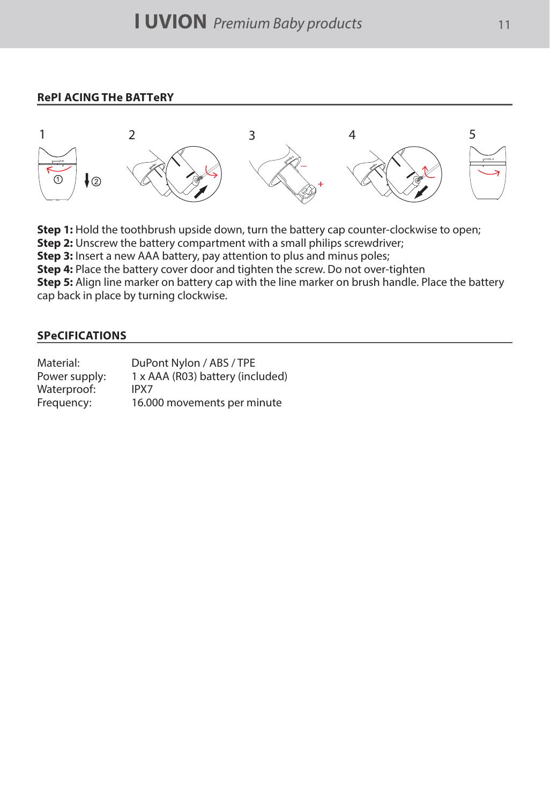## **RePl ACING THe BATTeRY**



**Step 1:** Hold the toothbrush upside down, turn the battery cap counter-clockwise to open;

**Step 2:** Unscrew the battery compartment with a small philips screwdriver;

**Step 3:** Insert a new AAA battery, pay attention to plus and minus poles:

**Step 4:** Place the battery cover door and tighten the screw. Do not over-tighten

**Step 5:** Align line marker on battery cap with the line marker on brush handle. Place the battery cap back in place by turning clockwise.

## **SPeCIFICATIONS**

| Material:     | DuPont Nylon / ABS / TPE         |
|---------------|----------------------------------|
| Power supply: | 1 x AAA (R03) battery (included) |
| Waterproof:   | IPX7                             |
| Frequency:    | 16.000 movements per minute      |